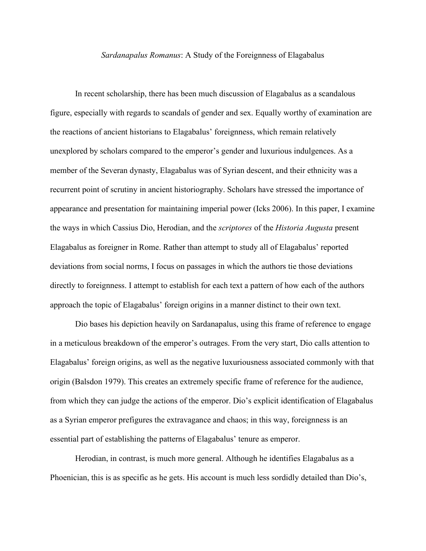## *Sardanapalus Romanus*: A Study of the Foreignness of Elagabalus

In recent scholarship, there has been much discussion of Elagabalus as a scandalous figure, especially with regards to scandals of gender and sex. Equally worthy of examination are the reactions of ancient historians to Elagabalus' foreignness, which remain relatively unexplored by scholars compared to the emperor's gender and luxurious indulgences. As a member of the Severan dynasty, Elagabalus was of Syrian descent, and their ethnicity was a recurrent point of scrutiny in ancient historiography. Scholars have stressed the importance of appearance and presentation for maintaining imperial power (Icks 2006). In this paper, I examine the ways in which Cassius Dio, Herodian, and the *scriptores* of the *Historia Augusta* present Elagabalus as foreigner in Rome. Rather than attempt to study all of Elagabalus' reported deviations from social norms, I focus on passages in which the authors tie those deviations directly to foreignness. I attempt to establish for each text a pattern of how each of the authors approach the topic of Elagabalus' foreign origins in a manner distinct to their own text.

Dio bases his depiction heavily on Sardanapalus, using this frame of reference to engage in a meticulous breakdown of the emperor's outrages. From the very start, Dio calls attention to Elagabalus' foreign origins, as well as the negative luxuriousness associated commonly with that origin (Balsdon 1979). This creates an extremely specific frame of reference for the audience, from which they can judge the actions of the emperor. Dio's explicit identification of Elagabalus as a Syrian emperor prefigures the extravagance and chaos; in this way, foreignness is an essential part of establishing the patterns of Elagabalus' tenure as emperor.

Herodian, in contrast, is much more general. Although he identifies Elagabalus as a Phoenician, this is as specific as he gets. His account is much less sordidly detailed than Dio's,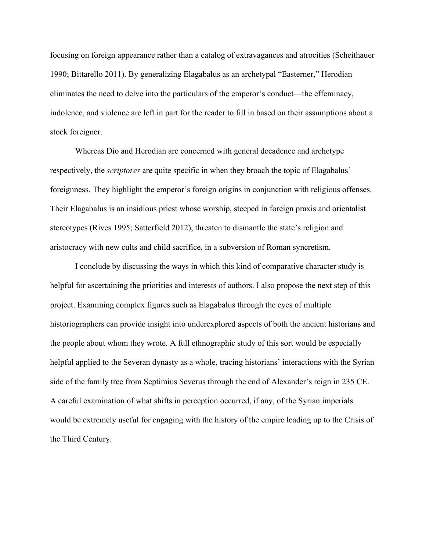focusing on foreign appearance rather than a catalog of extravagances and atrocities (Scheithauer 1990; Bittarello 2011). By generalizing Elagabalus as an archetypal "Easterner," Herodian eliminates the need to delve into the particulars of the emperor's conduct—the effeminacy, indolence, and violence are left in part for the reader to fill in based on their assumptions about a stock foreigner.

Whereas Dio and Herodian are concerned with general decadence and archetype respectively, the *scriptores* are quite specific in when they broach the topic of Elagabalus' foreignness. They highlight the emperor's foreign origins in conjunction with religious offenses. Their Elagabalus is an insidious priest whose worship, steeped in foreign praxis and orientalist stereotypes (Rives 1995; Satterfield 2012), threaten to dismantle the state's religion and aristocracy with new cults and child sacrifice, in a subversion of Roman syncretism.

I conclude by discussing the ways in which this kind of comparative character study is helpful for ascertaining the priorities and interests of authors. I also propose the next step of this project. Examining complex figures such as Elagabalus through the eyes of multiple historiographers can provide insight into underexplored aspects of both the ancient historians and the people about whom they wrote. A full ethnographic study of this sort would be especially helpful applied to the Severan dynasty as a whole, tracing historians' interactions with the Syrian side of the family tree from Septimius Severus through the end of Alexander's reign in 235 CE. A careful examination of what shifts in perception occurred, if any, of the Syrian imperials would be extremely useful for engaging with the history of the empire leading up to the Crisis of the Third Century.